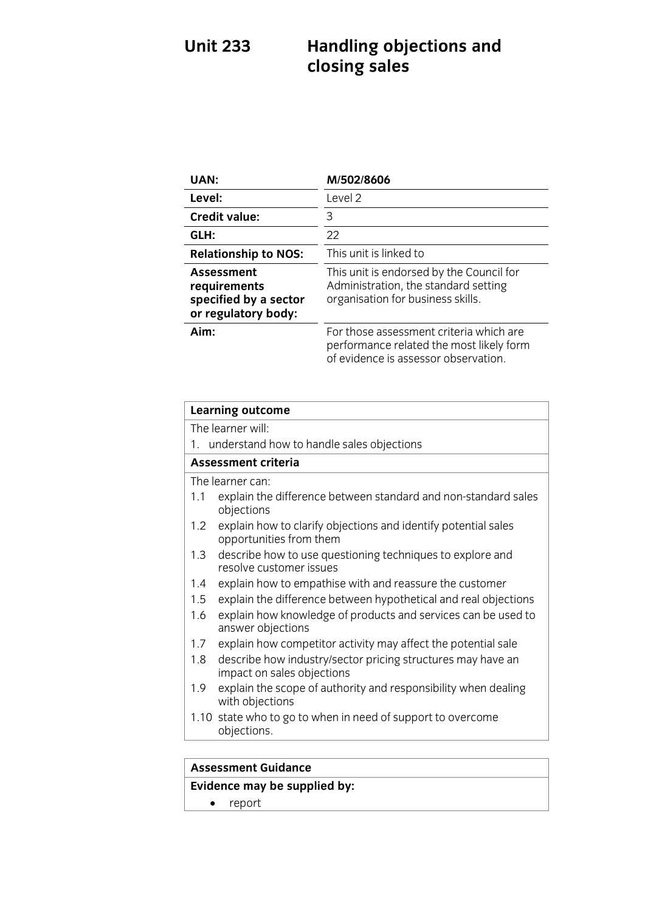### **Unit 2333 Handling objections** and *Handley* **closing sales**

| UAN:                                                                       | M/502/8606                                                                                                                  |
|----------------------------------------------------------------------------|-----------------------------------------------------------------------------------------------------------------------------|
| Level:                                                                     | Level 2                                                                                                                     |
| <b>Credit value:</b>                                                       | 3                                                                                                                           |
| GLH:                                                                       | 22                                                                                                                          |
| <b>Relationship to NOS:</b>                                                | This unit is linked to                                                                                                      |
| Assessment<br>requirements<br>specified by a sector<br>or regulatory body: | This unit is endorsed by the Council for<br>Administration, the standard setting<br>organisation for business skills.       |
| Aim:                                                                       | For those assessment criteria which are<br>performance related the most likely form<br>of evidence is assessor observation. |

| <b>Learning outcome</b>                                                                                    |  |
|------------------------------------------------------------------------------------------------------------|--|
| The learner will:                                                                                          |  |
| 1. understand how to handle sales objections                                                               |  |
| <b>Assessment criteria</b>                                                                                 |  |
| The learner can:                                                                                           |  |
| explain the difference between standard and non-standard sales<br>1.1<br>objections                        |  |
| explain how to clarify objections and identify potential sales<br>$1.2^{\circ}$<br>opportunities from them |  |
| describe how to use questioning techniques to explore and<br>1.3<br>resolve customer issues                |  |
| explain how to empathise with and reassure the customer<br>1.4                                             |  |
| explain the difference between hypothetical and real objections<br>1.5                                     |  |
| explain how knowledge of products and services can be used to<br>1.6<br>answer objections                  |  |
| explain how competitor activity may affect the potential sale<br>1.7                                       |  |
| describe how industry/sector pricing structures may have an<br>1.8<br>impact on sales objections           |  |
| explain the scope of authority and responsibility when dealing<br>1.9<br>with objections                   |  |
| 1.10 state who to go to when in need of support to overcome<br>objections.                                 |  |
|                                                                                                            |  |
| .                                                                                                          |  |

### **Assessment Guidance**

### **Evidence may be supplied by:**

• report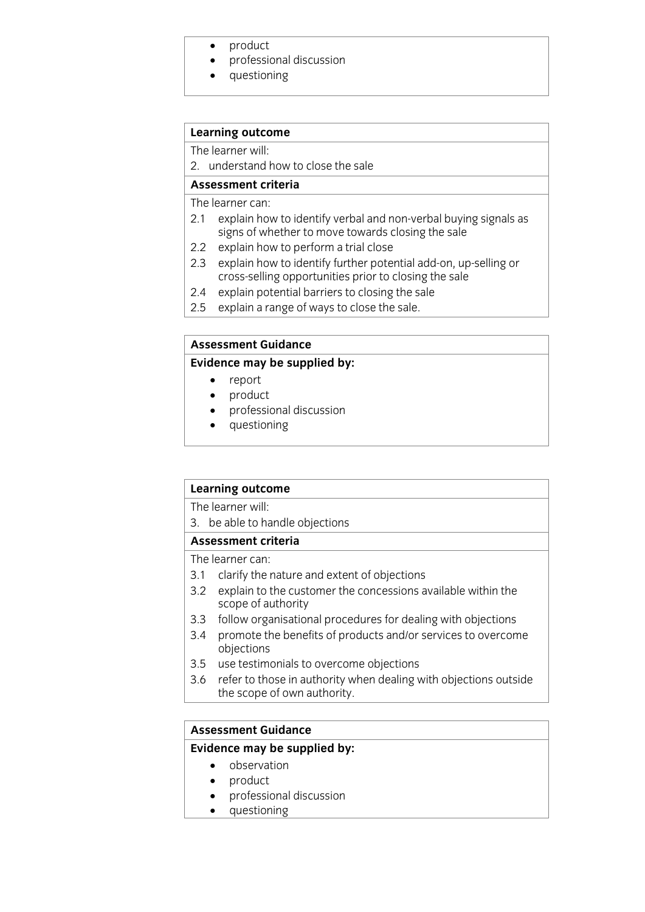- product<br>• professi
- professional discussion
- questioning

## **Learning outcome**<br>The learner will:

2. understand how to close the sale

Assessment criteria

The learner can:

- 2.1 explain how to identify verbal and non-verbal buying signals as signs of whether to move towards closing the sale
- 2.2 explain how to perform a trial close
- 2.3 explain how to identify further potential add-on, up-selling or cross-selling opportunities prior to closing the sale
- $2.4$ explain potential barriers to closing the sale
- $2.5$  explain a range of ways to close the sale <u>2.5 exploration and ways to close the sale.</u>

#### **Assessment Guidance**

#### **Evidence may be supplied by:**

- **Evidence may be supplied by:**
	- report<br>• product • product<br>• professie
	- professional discussion<br>• questioning
	- questioning

## **Learning outcome**<br>The learner will:

3. be able to handle objections

#### Assessment criteria

The learner can:

- 3.1 clarify the nature and extent of objections
- 3.2 explain to the customer the concessions available within the scope of authority
- 3.3 follow organisational procedures for dealing with objections
- 3.4 promote the benefits of products and/or services to overcome obiections
- 3.5 use testimonials to overcome objections
- 3.6 refer to those in authority when dealing with objections outside the scope of own authority.  $\frac{1}{\sqrt{2}}$  the scope of our authority.

### **Assessment Guidance Evidence** may be supplied by:

- observation
- product<br>• professie
- professional discussion<br>• questioning
- questioning